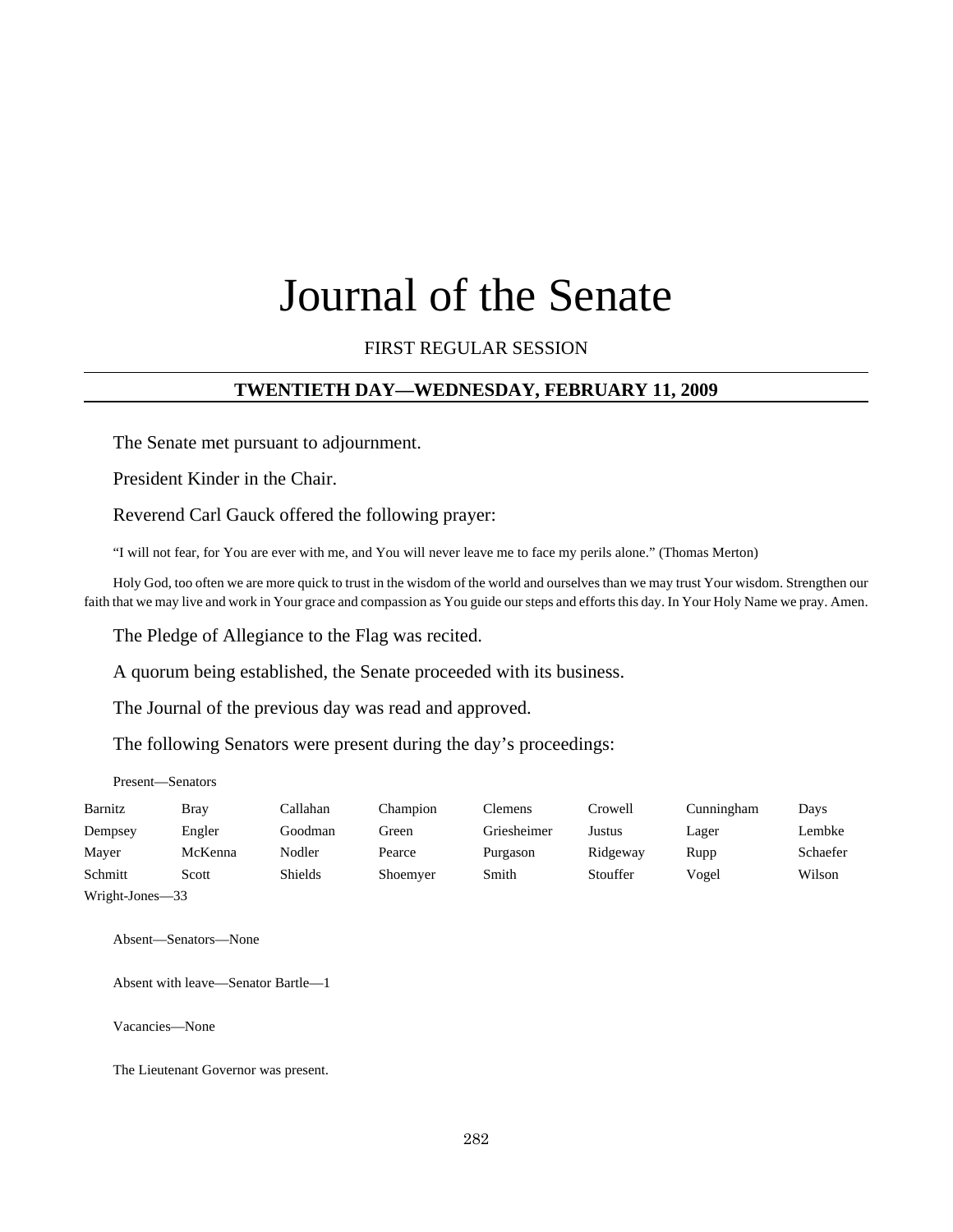# Journal of the Senate

#### FIRST REGULAR SESSION

#### **TWENTIETH DAY—WEDNESDAY, FEBRUARY 11, 2009**

The Senate met pursuant to adjournment.

President Kinder in the Chair.

Reverend Carl Gauck offered the following prayer:

"I will not fear, for You are ever with me, and You will never leave me to face my perils alone." (Thomas Merton)

Holy God, too often we are more quick to trust in the wisdom of the world and ourselves than we may trust Your wisdom. Strengthen our faith that we may live and work in Your grace and compassion as You guide our steps and efforts this day. In Your Holy Name we pray. Amen.

The Pledge of Allegiance to the Flag was recited.

A quorum being established, the Senate proceeded with its business.

The Journal of the previous day was read and approved.

The following Senators were present during the day's proceedings:

Present—Senators

| Barnitz         | <b>Bray</b> | Callahan | Champion | Clemens     | Crowell  | Cunningham | Days     |
|-----------------|-------------|----------|----------|-------------|----------|------------|----------|
| Dempsey         | Engler      | Goodman  | Green    | Griesheimer | Justus   | Lager      | Lembke   |
| Mayer           | McKenna     | Nodler   | Pearce   | Purgason    | Ridgeway | Rupp       | Schaefer |
| Schmitt         | Scott       | Shields  | Shoemyer | Smith       | Stouffer | Vogel      | Wilson   |
| Wright-Jones-33 |             |          |          |             |          |            |          |

Absent—Senators—None

Absent with leave—Senator Bartle—1

Vacancies—None

The Lieutenant Governor was present.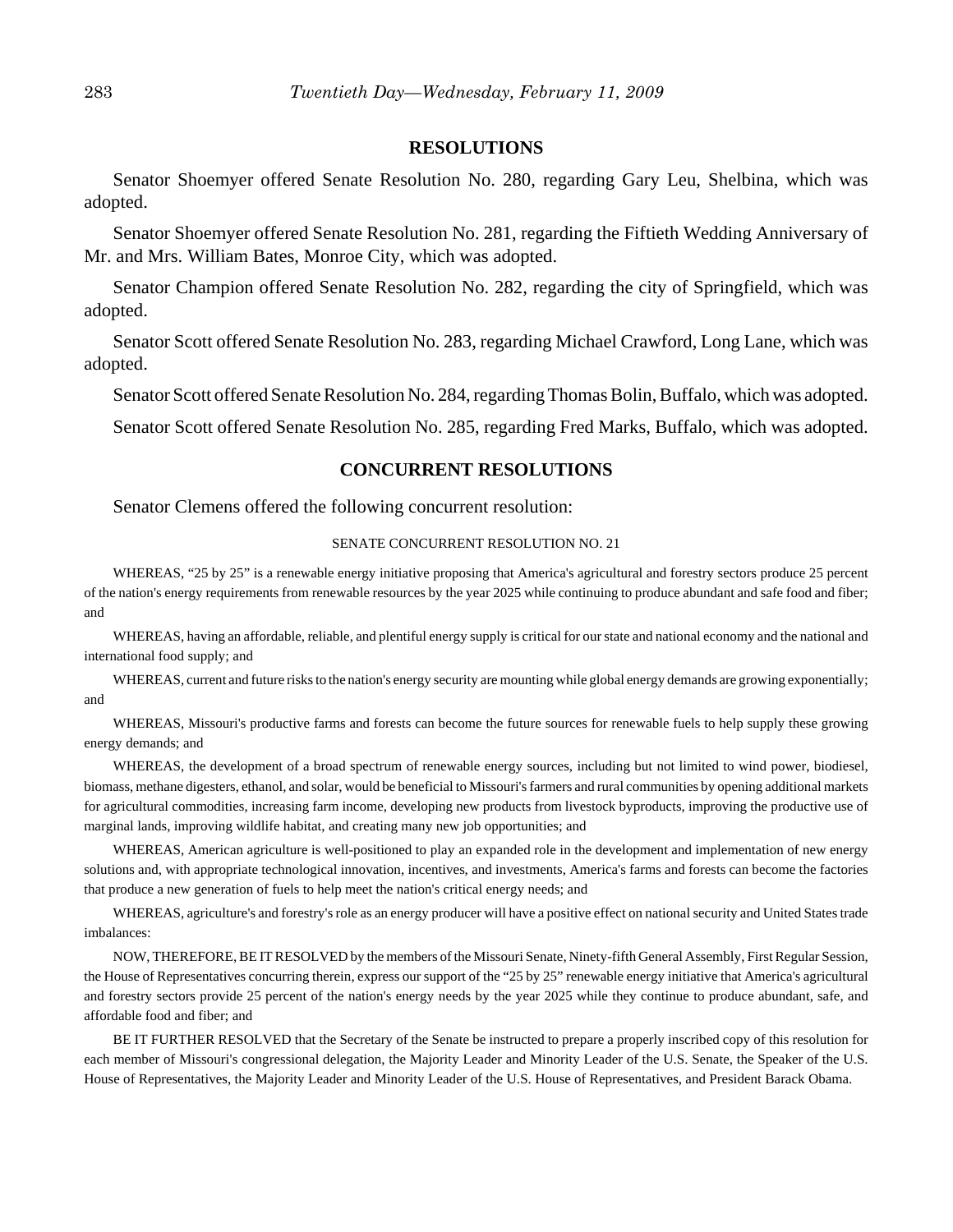#### **RESOLUTIONS**

Senator Shoemyer offered Senate Resolution No. 280, regarding Gary Leu, Shelbina, which was adopted.

Senator Shoemyer offered Senate Resolution No. 281, regarding the Fiftieth Wedding Anniversary of Mr. and Mrs. William Bates, Monroe City, which was adopted.

Senator Champion offered Senate Resolution No. 282, regarding the city of Springfield, which was adopted.

Senator Scott offered Senate Resolution No. 283, regarding Michael Crawford, Long Lane, which was adopted.

Senator Scott offered Senate Resolution No. 284, regarding Thomas Bolin, Buffalo, which was adopted.

Senator Scott offered Senate Resolution No. 285, regarding Fred Marks, Buffalo, which was adopted.

#### **CONCURRENT RESOLUTIONS**

Senator Clemens offered the following concurrent resolution:

#### SENATE CONCURRENT RESOLUTION NO. 21

WHEREAS, "25 by 25" is a renewable energy initiative proposing that America's agricultural and forestry sectors produce 25 percent of the nation's energy requirements from renewable resources by the year 2025 while continuing to produce abundant and safe food and fiber; and

WHEREAS, having an affordable, reliable, and plentiful energy supply is critical for our state and national economy and the national and international food supply; and

WHEREAS, current and future risks to the nation's energy security are mounting while global energy demands are growing exponentially; and

WHEREAS, Missouri's productive farms and forests can become the future sources for renewable fuels to help supply these growing energy demands; and

WHEREAS, the development of a broad spectrum of renewable energy sources, including but not limited to wind power, biodiesel, biomass, methane digesters, ethanol, and solar, would be beneficial to Missouri's farmers and rural communities by opening additional markets for agricultural commodities, increasing farm income, developing new products from livestock byproducts, improving the productive use of marginal lands, improving wildlife habitat, and creating many new job opportunities; and

WHEREAS, American agriculture is well-positioned to play an expanded role in the development and implementation of new energy solutions and, with appropriate technological innovation, incentives, and investments, America's farms and forests can become the factories that produce a new generation of fuels to help meet the nation's critical energy needs; and

WHEREAS, agriculture's and forestry's role as an energy producer will have a positive effect on national security and United States trade imbalances:

NOW, THEREFORE, BE IT RESOLVED by the members of the Missouri Senate, Ninety-fifth General Assembly, First Regular Session, the House of Representatives concurring therein, express our support of the "25 by 25" renewable energy initiative that America's agricultural and forestry sectors provide 25 percent of the nation's energy needs by the year 2025 while they continue to produce abundant, safe, and affordable food and fiber; and

BE IT FURTHER RESOLVED that the Secretary of the Senate be instructed to prepare a properly inscribed copy of this resolution for each member of Missouri's congressional delegation, the Majority Leader and Minority Leader of the U.S. Senate, the Speaker of the U.S. House of Representatives, the Majority Leader and Minority Leader of the U.S. House of Representatives, and President Barack Obama.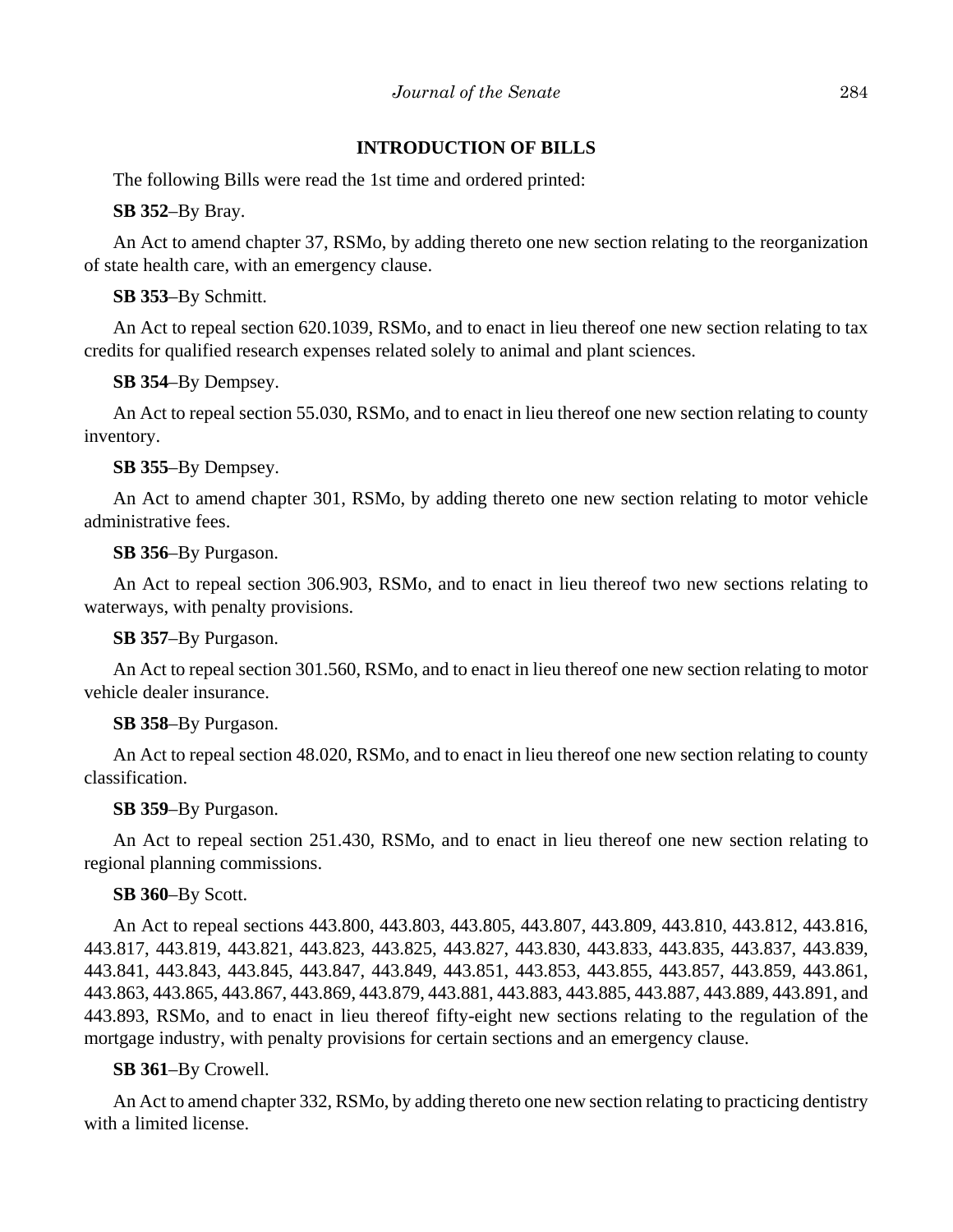#### **INTRODUCTION OF BILLS**

The following Bills were read the 1st time and ordered printed:

**SB 352**–By Bray.

An Act to amend chapter 37, RSMo, by adding thereto one new section relating to the reorganization of state health care, with an emergency clause.

**SB 353**–By Schmitt.

An Act to repeal section 620.1039, RSMo, and to enact in lieu thereof one new section relating to tax credits for qualified research expenses related solely to animal and plant sciences.

**SB 354**–By Dempsey.

An Act to repeal section 55.030, RSMo, and to enact in lieu thereof one new section relating to county inventory.

**SB 355**–By Dempsey.

An Act to amend chapter 301, RSMo, by adding thereto one new section relating to motor vehicle administrative fees.

**SB 356**–By Purgason.

An Act to repeal section 306.903, RSMo, and to enact in lieu thereof two new sections relating to waterways, with penalty provisions.

**SB 357**–By Purgason.

An Act to repeal section 301.560, RSMo, and to enact in lieu thereof one new section relating to motor vehicle dealer insurance.

**SB 358**–By Purgason.

An Act to repeal section 48.020, RSMo, and to enact in lieu thereof one new section relating to county classification.

**SB 359**–By Purgason.

An Act to repeal section 251.430, RSMo, and to enact in lieu thereof one new section relating to regional planning commissions.

**SB 360**–By Scott.

An Act to repeal sections 443.800, 443.803, 443.805, 443.807, 443.809, 443.810, 443.812, 443.816, 443.817, 443.819, 443.821, 443.823, 443.825, 443.827, 443.830, 443.833, 443.835, 443.837, 443.839, 443.841, 443.843, 443.845, 443.847, 443.849, 443.851, 443.853, 443.855, 443.857, 443.859, 443.861, 443.863, 443.865, 443.867, 443.869, 443.879, 443.881, 443.883, 443.885, 443.887, 443.889, 443.891, and 443.893, RSMo, and to enact in lieu thereof fifty-eight new sections relating to the regulation of the mortgage industry, with penalty provisions for certain sections and an emergency clause.

**SB 361**–By Crowell.

An Act to amend chapter 332, RSMo, by adding thereto one new section relating to practicing dentistry with a limited license.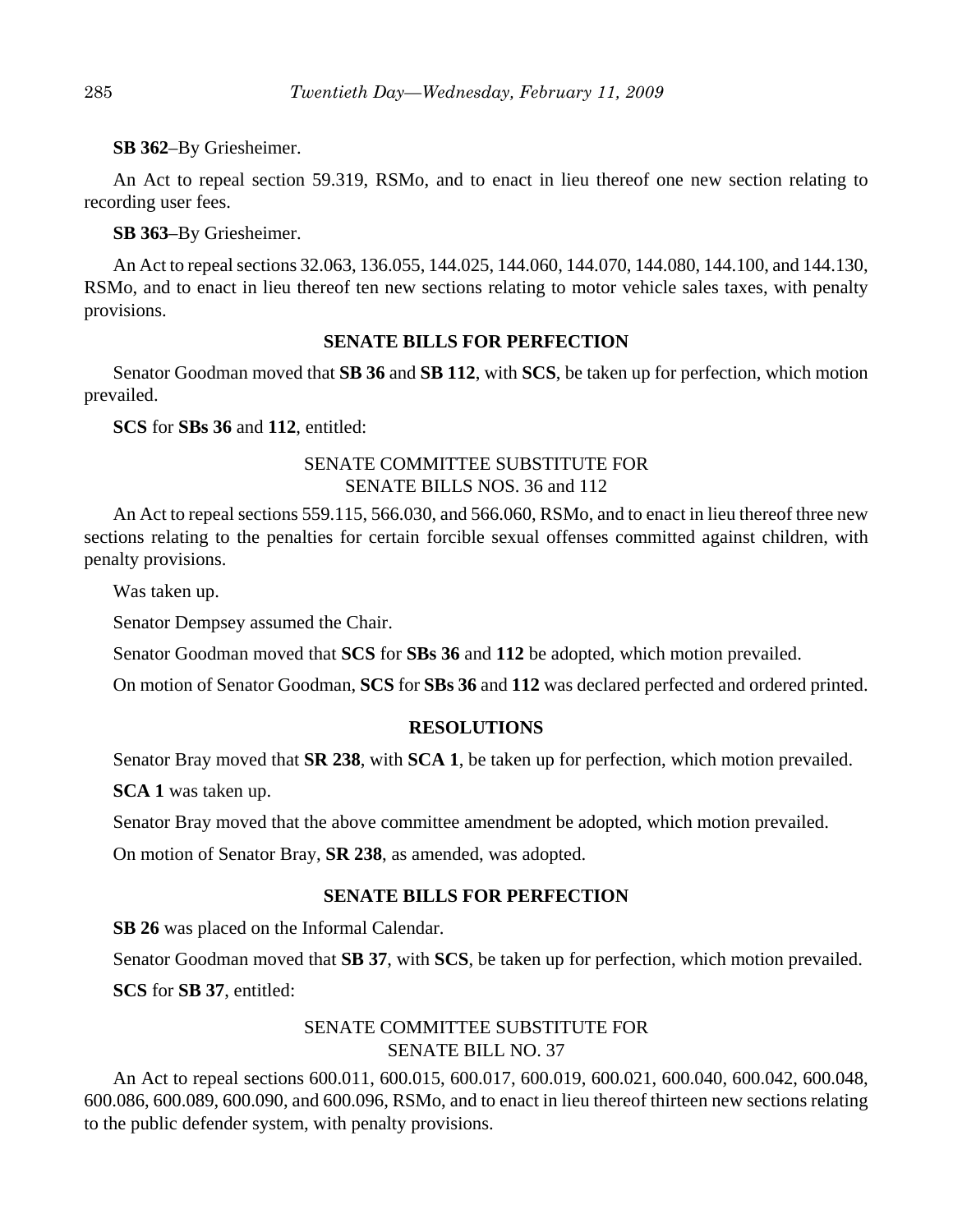#### **SB 362**–By Griesheimer.

An Act to repeal section 59.319, RSMo, and to enact in lieu thereof one new section relating to recording user fees.

#### **SB 363**–By Griesheimer.

An Act to repeal sections 32.063, 136.055, 144.025, 144.060, 144.070, 144.080, 144.100, and 144.130, RSMo, and to enact in lieu thereof ten new sections relating to motor vehicle sales taxes, with penalty provisions.

#### **SENATE BILLS FOR PERFECTION**

Senator Goodman moved that **SB 36** and **SB 112**, with **SCS**, be taken up for perfection, which motion prevailed.

**SCS** for **SBs 36** and **112**, entitled:

### SENATE COMMITTEE SUBSTITUTE FOR SENATE BILLS NOS. 36 and 112

An Act to repeal sections 559.115, 566.030, and 566.060, RSMo, and to enact in lieu thereof three new sections relating to the penalties for certain forcible sexual offenses committed against children, with penalty provisions.

Was taken up.

Senator Dempsey assumed the Chair.

Senator Goodman moved that **SCS** for **SBs 36** and **112** be adopted, which motion prevailed.

On motion of Senator Goodman, **SCS** for **SBs 36** and **112** was declared perfected and ordered printed.

#### **RESOLUTIONS**

Senator Bray moved that **SR 238**, with **SCA 1**, be taken up for perfection, which motion prevailed.

**SCA 1** was taken up.

Senator Bray moved that the above committee amendment be adopted, which motion prevailed.

On motion of Senator Bray, **SR 238**, as amended, was adopted.

#### **SENATE BILLS FOR PERFECTION**

**SB 26** was placed on the Informal Calendar.

Senator Goodman moved that **SB 37**, with **SCS**, be taken up for perfection, which motion prevailed.

**SCS** for **SB 37**, entitled:

## SENATE COMMITTEE SUBSTITUTE FOR SENATE BILL NO. 37

An Act to repeal sections 600.011, 600.015, 600.017, 600.019, 600.021, 600.040, 600.042, 600.048, 600.086, 600.089, 600.090, and 600.096, RSMo, and to enact in lieu thereof thirteen new sections relating to the public defender system, with penalty provisions.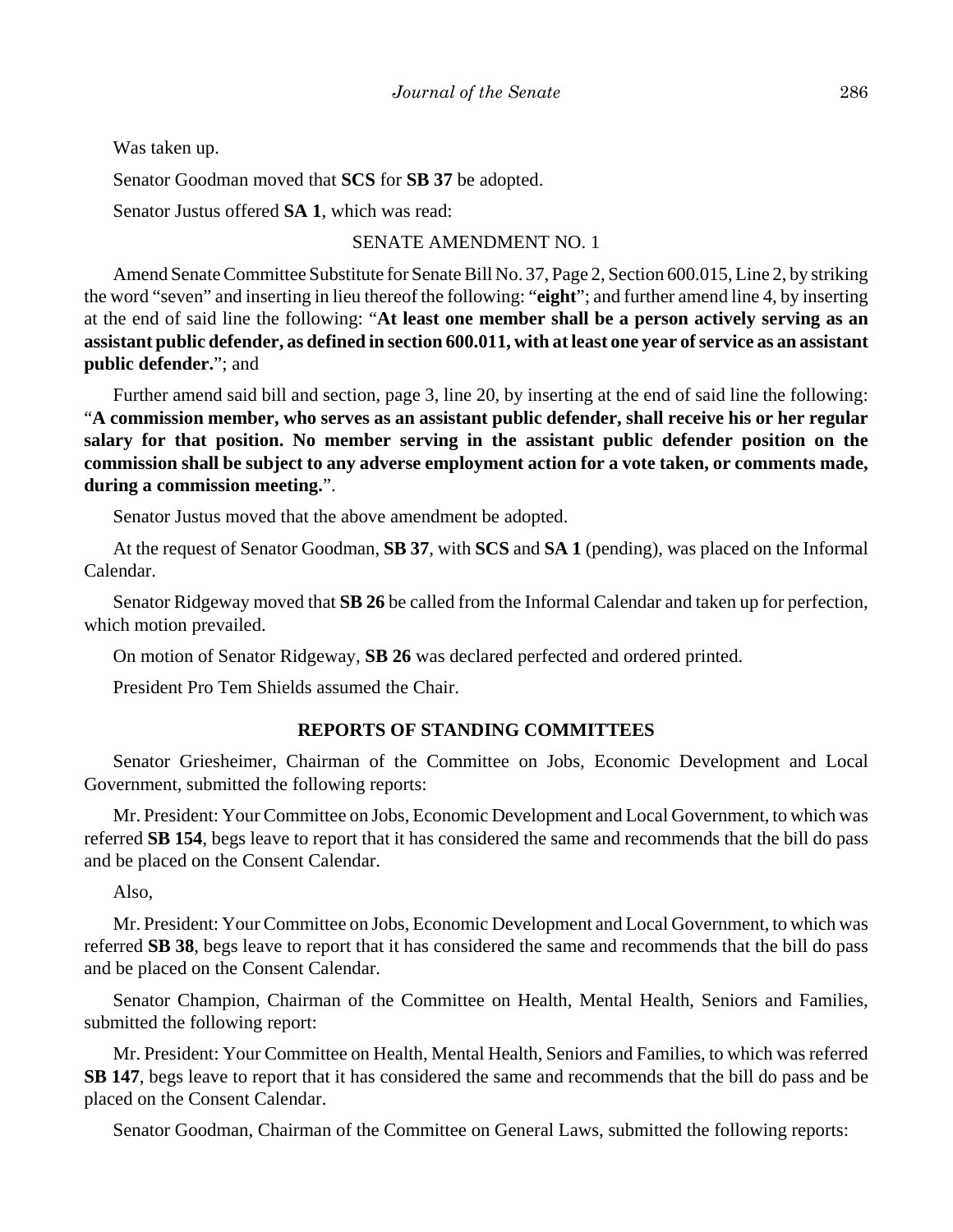Was taken up.

Senator Goodman moved that **SCS** for **SB 37** be adopted.

Senator Justus offered **SA 1**, which was read:

#### SENATE AMENDMENT NO. 1

Amend Senate Committee Substitute for Senate Bill No. 37, Page 2, Section 600.015, Line 2, by striking the word "seven" and inserting in lieu thereof the following: "**eight**"; and further amend line 4, by inserting at the end of said line the following: "**At least one member shall be a person actively serving as an assistant public defender, as defined in section 600.011, with at least one year of service as an assistant public defender.**"; and

Further amend said bill and section, page 3, line 20, by inserting at the end of said line the following: "**A commission member, who serves as an assistant public defender, shall receive his or her regular salary for that position. No member serving in the assistant public defender position on the commission shall be subject to any adverse employment action for a vote taken, or comments made, during a commission meeting.**".

Senator Justus moved that the above amendment be adopted.

At the request of Senator Goodman, **SB 37**, with **SCS** and **SA 1** (pending), was placed on the Informal Calendar.

Senator Ridgeway moved that **SB 26** be called from the Informal Calendar and taken up for perfection, which motion prevailed.

On motion of Senator Ridgeway, **SB 26** was declared perfected and ordered printed.

President Pro Tem Shields assumed the Chair.

#### **REPORTS OF STANDING COMMITTEES**

Senator Griesheimer, Chairman of the Committee on Jobs, Economic Development and Local Government, submitted the following reports:

Mr. President: Your Committee on Jobs, Economic Development and Local Government, to which was referred **SB 154**, begs leave to report that it has considered the same and recommends that the bill do pass and be placed on the Consent Calendar.

Also,

Mr. President: Your Committee on Jobs, Economic Development and Local Government, to which was referred **SB 38**, begs leave to report that it has considered the same and recommends that the bill do pass and be placed on the Consent Calendar.

Senator Champion, Chairman of the Committee on Health, Mental Health, Seniors and Families, submitted the following report:

Mr. President: Your Committee on Health, Mental Health, Seniors and Families, to which was referred **SB 147**, begs leave to report that it has considered the same and recommends that the bill do pass and be placed on the Consent Calendar.

Senator Goodman, Chairman of the Committee on General Laws, submitted the following reports: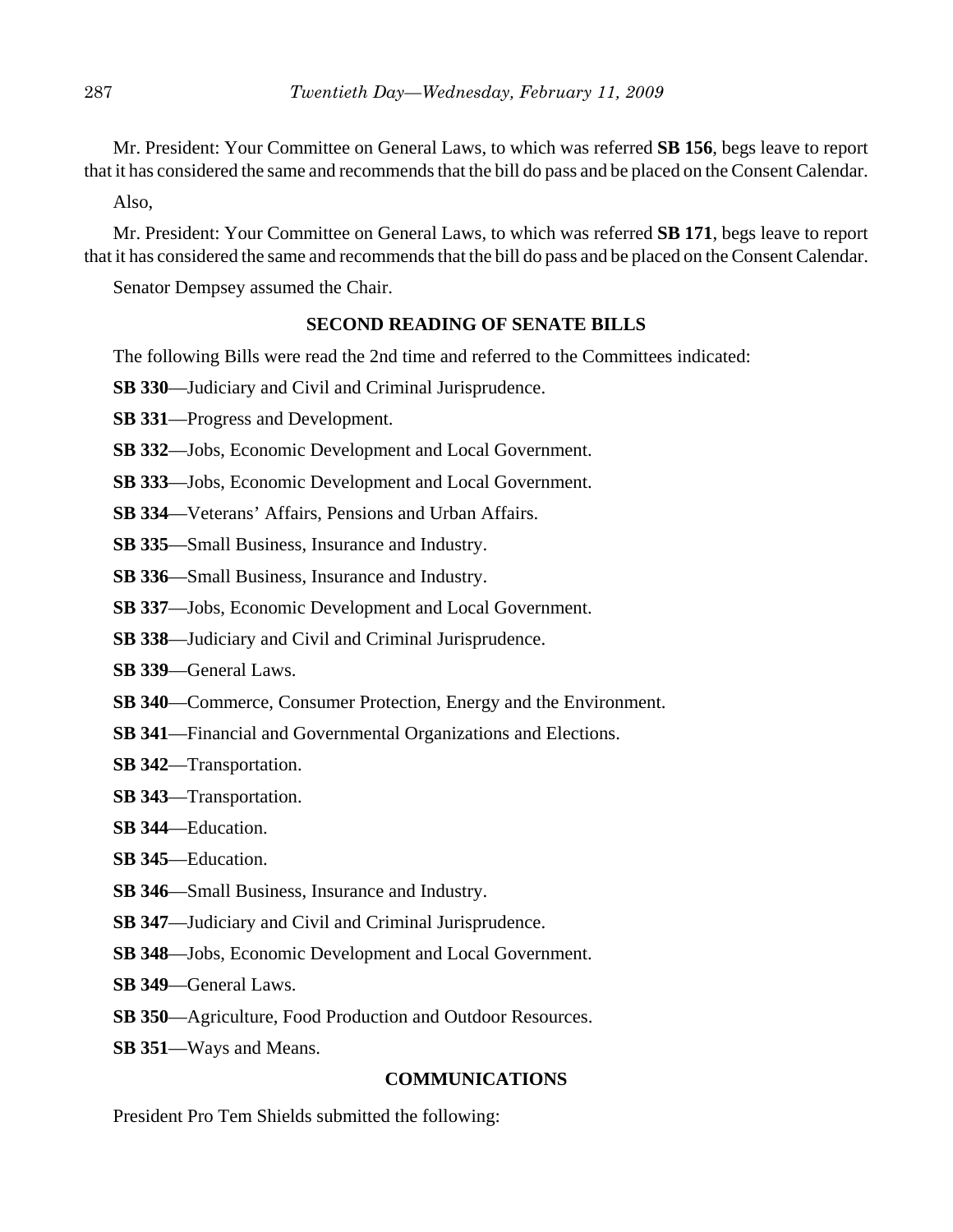Mr. President: Your Committee on General Laws, to which was referred **SB 156**, begs leave to report that it has considered the same and recommends that the bill do pass and be placed on the Consent Calendar.

Also,

Mr. President: Your Committee on General Laws, to which was referred **SB 171**, begs leave to report that it has considered the same and recommends that the bill do pass and be placed on the Consent Calendar.

Senator Dempsey assumed the Chair.

#### **SECOND READING OF SENATE BILLS**

The following Bills were read the 2nd time and referred to the Committees indicated:

- **SB 330**—Judiciary and Civil and Criminal Jurisprudence.
- **SB 331**—Progress and Development.
- **SB 332**—Jobs, Economic Development and Local Government.
- **SB 333**—Jobs, Economic Development and Local Government.
- **SB 334**—Veterans' Affairs, Pensions and Urban Affairs.
- **SB 335**—Small Business, Insurance and Industry.
- **SB 336**—Small Business, Insurance and Industry.
- **SB 337**—Jobs, Economic Development and Local Government.
- **SB 338**—Judiciary and Civil and Criminal Jurisprudence.
- **SB 339**—General Laws.
- **SB 340**—Commerce, Consumer Protection, Energy and the Environment.
- **SB 341**—Financial and Governmental Organizations and Elections.
- **SB 342**—Transportation.
- **SB 343**—Transportation.
- **SB 344**—Education.
- **SB 345**—Education.
- **SB 346**—Small Business, Insurance and Industry.
- **SB 347**—Judiciary and Civil and Criminal Jurisprudence.
- **SB 348**—Jobs, Economic Development and Local Government.
- **SB 349**—General Laws.
- **SB 350**—Agriculture, Food Production and Outdoor Resources.
- **SB 351**—Ways and Means.

#### **COMMUNICATIONS**

President Pro Tem Shields submitted the following: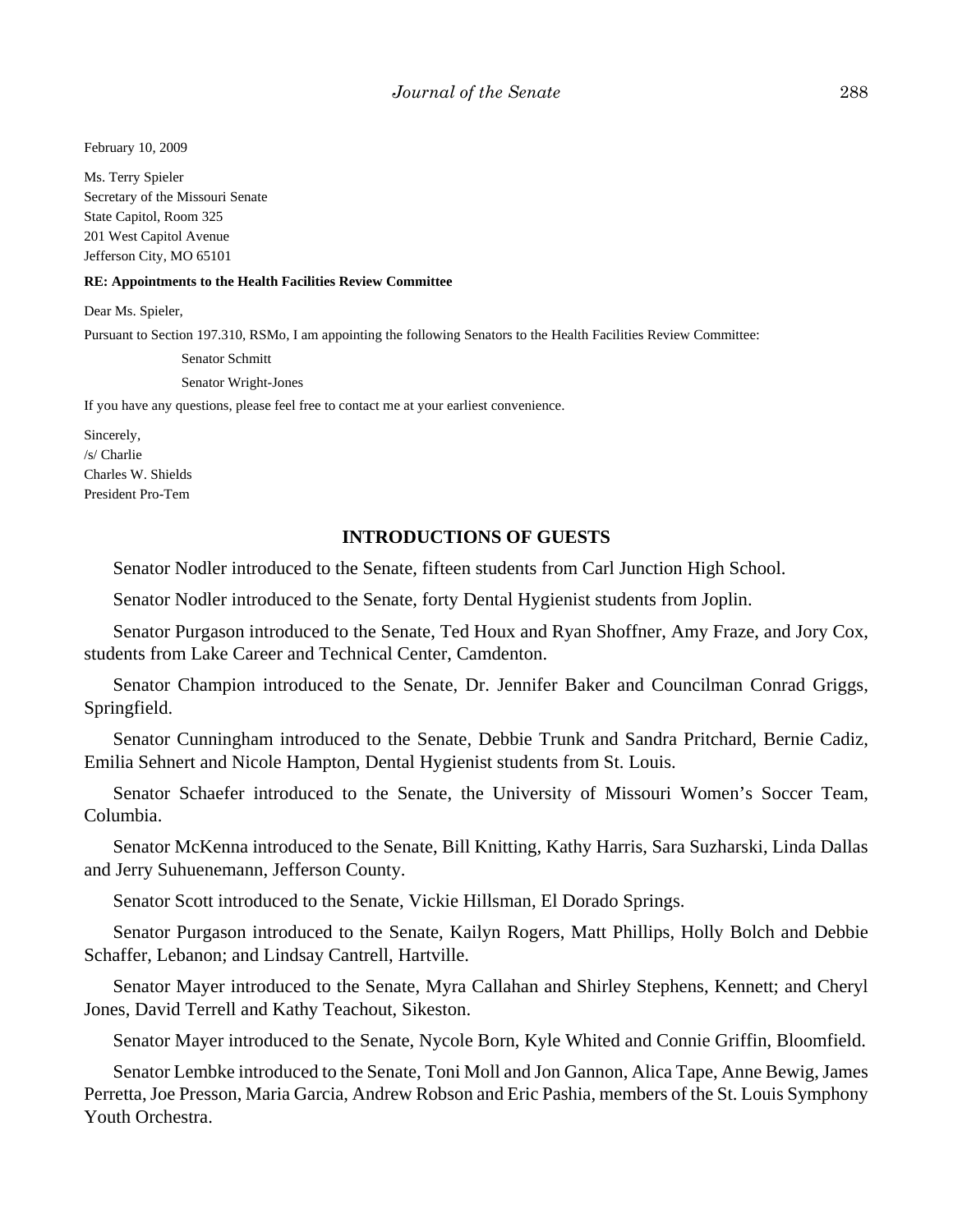February 10, 2009

Ms. Terry Spieler Secretary of the Missouri Senate State Capitol, Room 325 201 West Capitol Avenue Jefferson City, MO 65101

#### **RE: Appointments to the Health Facilities Review Committee**

Dear Ms. Spieler,

Pursuant to Section 197.310, RSMo, I am appointing the following Senators to the Health Facilities Review Committee:

Senator Schmitt

Senator Wright-Jones

If you have any questions, please feel free to contact me at your earliest convenience.

Sincerely, /s/ Charlie Charles W. Shields President Pro-Tem

#### **INTRODUCTIONS OF GUESTS**

Senator Nodler introduced to the Senate, fifteen students from Carl Junction High School.

Senator Nodler introduced to the Senate, forty Dental Hygienist students from Joplin.

Senator Purgason introduced to the Senate, Ted Houx and Ryan Shoffner, Amy Fraze, and Jory Cox, students from Lake Career and Technical Center, Camdenton.

Senator Champion introduced to the Senate, Dr. Jennifer Baker and Councilman Conrad Griggs, Springfield.

Senator Cunningham introduced to the Senate, Debbie Trunk and Sandra Pritchard, Bernie Cadiz, Emilia Sehnert and Nicole Hampton, Dental Hygienist students from St. Louis.

Senator Schaefer introduced to the Senate, the University of Missouri Women's Soccer Team, Columbia.

Senator McKenna introduced to the Senate, Bill Knitting, Kathy Harris, Sara Suzharski, Linda Dallas and Jerry Suhuenemann, Jefferson County.

Senator Scott introduced to the Senate, Vickie Hillsman, El Dorado Springs.

Senator Purgason introduced to the Senate, Kailyn Rogers, Matt Phillips, Holly Bolch and Debbie Schaffer, Lebanon; and Lindsay Cantrell, Hartville.

Senator Mayer introduced to the Senate, Myra Callahan and Shirley Stephens, Kennett; and Cheryl Jones, David Terrell and Kathy Teachout, Sikeston.

Senator Mayer introduced to the Senate, Nycole Born, Kyle Whited and Connie Griffin, Bloomfield.

Senator Lembke introduced to the Senate, Toni Moll and Jon Gannon, Alica Tape, Anne Bewig, James Perretta, Joe Presson, Maria Garcia, Andrew Robson and Eric Pashia, members of the St. Louis Symphony Youth Orchestra.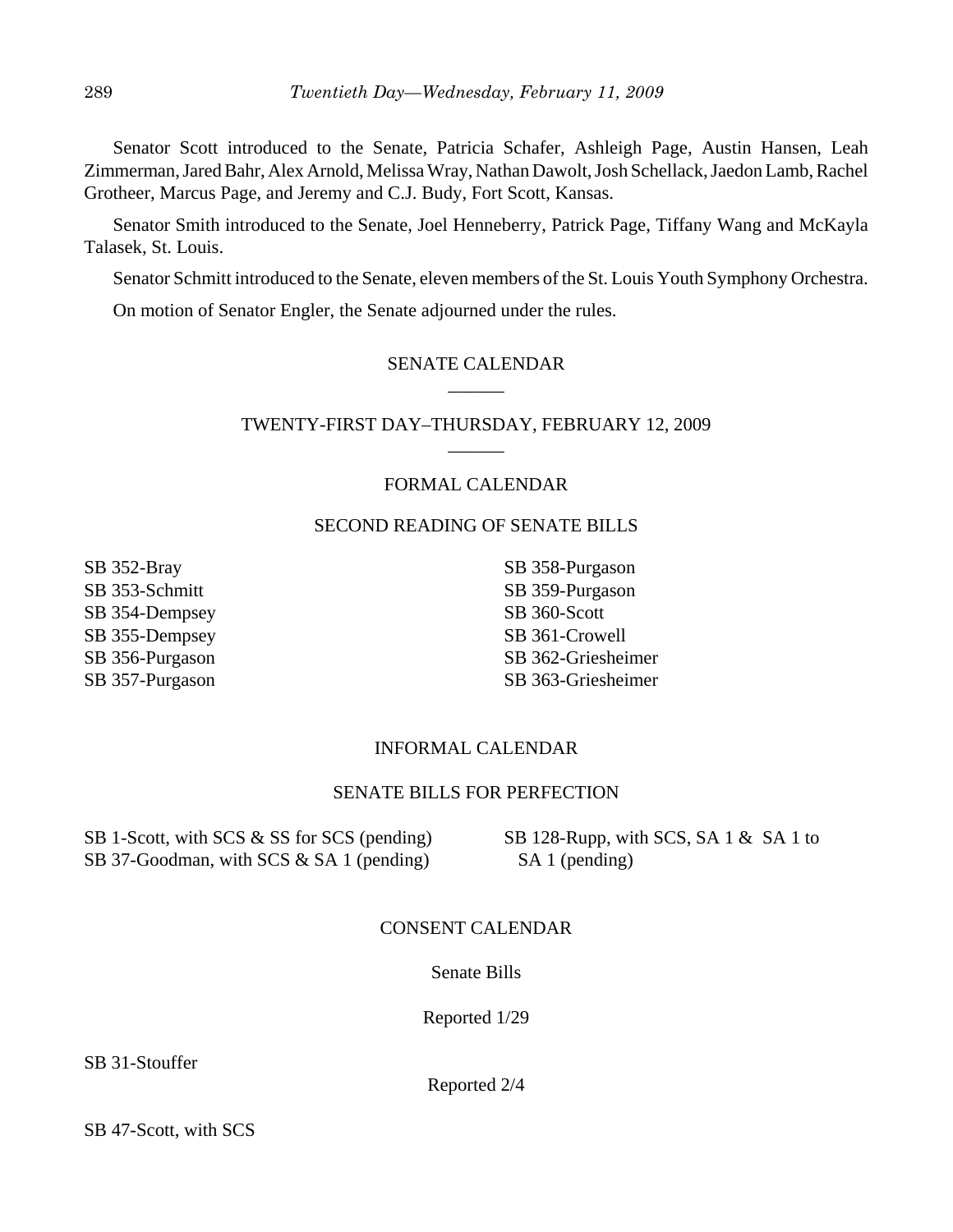Senator Scott introduced to the Senate, Patricia Schafer, Ashleigh Page, Austin Hansen, Leah Zimmerman, Jared Bahr, Alex Arnold, Melissa Wray, Nathan Dawolt, Josh Schellack, Jaedon Lamb, Rachel Grotheer, Marcus Page, and Jeremy and C.J. Budy, Fort Scott, Kansas.

Senator Smith introduced to the Senate, Joel Henneberry, Patrick Page, Tiffany Wang and McKayla Talasek, St. Louis.

Senator Schmitt introduced to the Senate, eleven members of the St. Louis Youth Symphony Orchestra.

On motion of Senator Engler, the Senate adjourned under the rules.

#### SENATE CALENDAR \_\_\_\_\_\_

TWENTY-FIRST DAY–THURSDAY, FEBRUARY 12, 2009 \_\_\_\_\_\_

#### FORMAL CALENDAR

#### SECOND READING OF SENATE BILLS

SB 352-Bray SB 353-Schmitt SB 354-Dempsey SB 355-Dempsey SB 356-Purgason SB 357-Purgason

SB 358-Purgason SB 359-Purgason SB 360-Scott SB 361-Crowell SB 362-Griesheimer SB 363-Griesheimer

#### INFORMAL CALENDAR

#### SENATE BILLS FOR PERFECTION

SB 1-Scott, with SCS & SS for SCS (pending) SB 37-Goodman, with SCS & SA 1 (pending)

SB 128-Rupp, with SCS, SA 1 & SA 1 to SA 1 (pending)

#### CONSENT CALENDAR

#### Senate Bills

Reported 1/29

SB 31-Stouffer

Reported 2/4

SB 47-Scott, with SCS